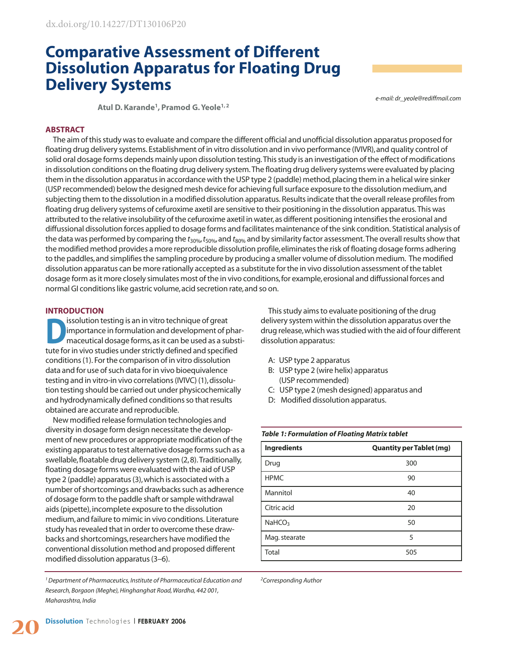# **Comparative Assessment of Different Dissolution Apparatus for Floating Drug Delivery Systems**

*e-mail: dr\_yeole@rediffmail.com*

**Atul D. Karande1, Pramod G. Yeole1, 2**

#### **ABSTRACT**

The aim of this study was to evaluate and compare the different official and unofficial dissolution apparatus proposed for floating drug delivery systems. Establishment of in vitro dissolution and in vivo performance (IVIVR), and quality control of solid oral dosage forms depends mainly upon dissolution testing. This study is an investigation of the effect of modifications in dissolution conditions on the floating drug delivery system. The floating drug delivery systems were evaluated by placing them in the dissolution apparatus in accordance with the USP type 2 (paddle) method, placing them in a helical wire sinker (USP recommended) below the designed mesh device for achieving full surface exposure to the dissolution medium,and subjecting them to the dissolution in a modified dissolution apparatus. Results indicate that the overall release profiles from floating drug delivery systems of cefuroxime axetil are sensitive to their positioning in the dissolution apparatus. This was attributed to the relative insolubility of the cefuroxime axetil in water,as different positioning intensifies the erosional and diffussional dissolution forces applied to dosage forms and facilitates maintenance of the sink condition. Statistical analysis of the data was performed by comparing the  $t_{30\%}$ ,  $t_{50\%}$ , and  $t_{80\%}$  and by similarity factor assessment. The overall results show that the modified method provides a more reproducible dissolution profile,eliminates the risk of floating dosage forms adhering to the paddles, and simplifies the sampling procedure by producing a smaller volume of dissolution medium. The modified dissolution apparatus can be more rationally accepted as a substitute for the in vivo dissolution assessment of the tablet dosage form as it more closely simulates most of the in vivo conditions,for example,erosional and diffussional forces and normal GI conditions like gastric volume, acid secretion rate, and so on.

## **INTRODUCTION**

**Dissolution testing is an in vitro technique of great**<br>
importance in formulation and development of phar-<br>
maceutical dosage forms, as it can be used as a substi-<br>
the facine sine studies we denote<br>
the facine sine and a importance in formulation and development of phartute for in vivo studies under strictly defined and specified conditions (1). For the comparison of in vitro dissolution data and for use of such data for in vivo bioequivalence testing and in vitro-in vivo correlations (IVIVC) (1), dissolution testing should be carried out under physicochemically and hydrodynamically defined conditions so that results obtained are accurate and reproducible.

New modified release formulation technologies and diversity in dosage form design necessitate the development of new procedures or appropriate modification of the existing apparatus to test alternative dosage forms such as a swellable,floatable drug delivery system (2,8). Traditionally, floating dosage forms were evaluated with the aid of USP type 2 (paddle) apparatus (3),which is associated with a number of shortcomings and drawbacks such as adherence of dosage form to the paddle shaft or sample withdrawal aids (pipette), incomplete exposure to the dissolution medium,and failure to mimic in vivo conditions. Literature study has revealed that in order to overcome these drawbacks and shortcomings,researchers have modified the conventional dissolution method and proposed different modified dissolution apparatus (3–6).

*1 Department of Pharmaceutics, Institute of Pharmaceutical Education and Research, Borgaon (Meghe), Hinghanghat Road, Wardha, 442 001, Maharashtra, India*

This study aims to evaluate positioning of the drug delivery system within the dissolution apparatus over the drug release,which was studied with the aid of four different dissolution apparatus:

- A: USP type 2 apparatus
- B: USP type 2 (wire helix) apparatus (USP recommended)
- C: USP type 2 (mesh designed) apparatus and
- D: Modified dissolution apparatus.

| <b>Ingredients</b> | <b>Quantity per Tablet (mg)</b> |  |  |
|--------------------|---------------------------------|--|--|
| Drug               | 300                             |  |  |
| <b>HPMC</b>        | 90                              |  |  |
| Mannitol           | 40                              |  |  |
| Citric acid        | 20                              |  |  |
| NAHCO <sub>3</sub> | 50                              |  |  |
| Mag. stearate      | 5                               |  |  |
| Total              | 505                             |  |  |

# *Table 1: Formulation of Floating Matrix tablet*

*2 Corresponding Author*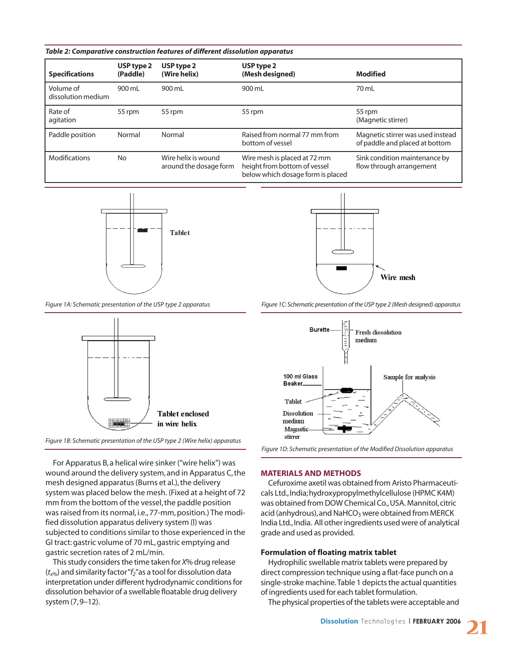| Table 2: Comparative construction features of different dissolution apparatus |  |  |  |  |  |  |  |
|-------------------------------------------------------------------------------|--|--|--|--|--|--|--|
|-------------------------------------------------------------------------------|--|--|--|--|--|--|--|

| <b>Specifications</b>           | USP type 2<br>(Paddle) | USP type 2<br>(Wire helix)                    | USP type 2<br>(Mesh designed)                                                                     | Modified                                                            |
|---------------------------------|------------------------|-----------------------------------------------|---------------------------------------------------------------------------------------------------|---------------------------------------------------------------------|
| Volume of<br>dissolution medium | 900 mL                 | 900 mL                                        | 900 mL                                                                                            | 70 mL                                                               |
| Rate of<br>agitation            | 55 rpm                 | 55 rpm                                        | 55 rpm                                                                                            | 55 rpm<br>(Magnetic stirrer)                                        |
| Paddle position                 | Normal                 | Normal                                        | Raised from normal 77 mm from<br>bottom of vessel                                                 | Magnetic stirrer was used instead<br>of paddle and placed at bottom |
| <b>Modifications</b>            | <b>No</b>              | Wire helix is wound<br>around the dosage form | Wire mesh is placed at 72 mm<br>height from bottom of vessel<br>below which dosage form is placed | Sink condition maintenance by<br>flow through arrangement           |









For Apparatus B, a helical wire sinker ("wire helix") was wound around the delivery system, and in Apparatus C, the mesh designed apparatus (Burns et al.), the delivery system was placed below the mesh. (Fixed at a height of 72 mm from the bottom of the vessel, the paddle position was raised from its normal, i.e., 77-mm, position.) The modified dissolution apparatus delivery system (l) was subjected to conditions similar to those experienced in the GI tract: gastric volume of 70 mL, gastric emptying and gastric secretion rates of 2 mL/min.

This study considers the time taken for *X*% drug release (*tx*%) and similarity factor "*f2*"as a tool for dissolution data interpretation under different hydrodynamic conditions for dissolution behavior of a swellable floatable drug delivery system (7,9–12).

*Figure 1A: Schematic presentation of the USP type 2 apparatus Figure 1C: Schematic presentation of the USP type 2 (Mesh designed) apparatus*





## **MATERIALS AND METHODS**

Cefuroxime axetil was obtained from Aristo Pharmaceuticals Ltd.,India;hydroxypropylmethylcellulose (HPMC K4M) was obtained from DOW Chemical Co., USA. Mannitol, citric acid (anhydrous), and NaHCO<sub>3</sub> were obtained from MERCK India Ltd., India. All other ingredients used were of analytical grade and used as provided.

#### **Formulation of floating matrix tablet**

Hydrophilic swellable matrix tablets were prepared by direct compression technique using a flat-face punch on a single-stroke machine. Table 1 depicts the actual quantities of ingredients used for each tablet formulation.

The physical properties of the tablets were acceptable and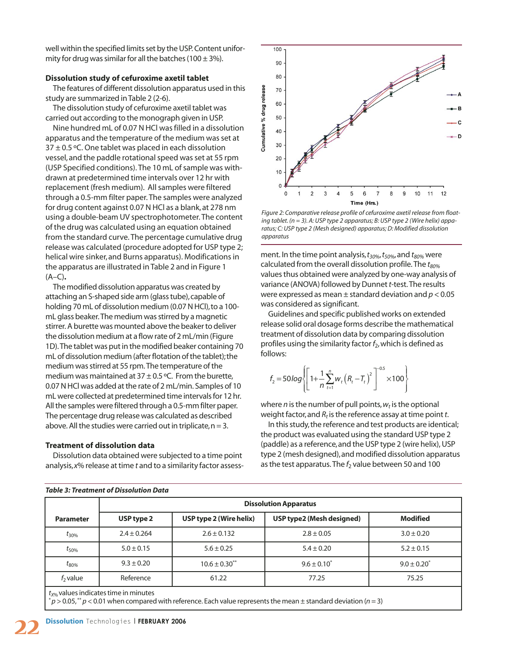well within the specified limits set by the USP. Content uniformity for drug was similar for all the batches (100  $\pm$  3%).

#### **Dissolution study of cefuroxime axetil tablet**

The features of different dissolution apparatus used in this study are summarized in Table 2 (2-6).

The dissolution study of cefuroxime axetil tablet was carried out according to the monograph given in USP.

Nine hundred mL of 0.07 N HCl was filled in a dissolution apparatus and the temperature of the medium was set at  $37 \pm 0.5$  °C. One tablet was placed in each dissolution vessel, and the paddle rotational speed was set at 55 rpm (USP Specified conditions). The 10 mL of sample was withdrawn at predetermined time intervals over 12 hr with replacement (fresh medium). All samples were filtered through a 0.5-mm filter paper. The samples were analyzed for drug content against 0.07 N HCl as a blank, at 278 nm using a double-beam UV spectrophotometer. The content of the drug was calculated using an equation obtained from the standard curve. The percentage cumulative drug release was calculated (procedure adopted for USP type 2; helical wire sinker, and Burns apparatus). Modifications in the apparatus are illustrated in Table 2 and in Figure 1 (A–C)**.**

The modified dissolution apparatus was created by attaching an S-shaped side arm (glass tube),capable of holding 70 mL of dissolution medium (0.07 N HCl), to a 100mL glass beaker. The medium was stirred by a magnetic stirrer. A burette was mounted above the beaker to deliver the dissolution medium at a flow rate of 2 mL/min (Figure 1D). The tablet was put in the modified beaker containing 70 mL of dissolution medium (after flotation of the tablet);the medium was stirred at 55 rpm. The temperature of the medium was maintained at  $37 \pm 0.5$  °C. From the burette, 0.07 N HCl was added at the rate of 2 mL/min. Samples of 10 mL were collected at predetermined time intervals for 12 hr. All the samples were filtered through a 0.5-mm filter paper. The percentage drug release was calculated as described above. All the studies were carried out in triplicate,  $n = 3$ .

#### **Treatment of dissolution data**

*Table 3: Treatment of Dissolution Data*

Dissolution data obtained were subjected to a time point analysis,*x*% release at time *t* and to a similarity factor assess-



*Figure 2: Comparative release profile of cefuroxime axetil release from floating tablet. (n = 3). A: USP type 2 apparatus; B: USP type 2 (Wire helix) apparatus; C: USP type 2 (Mesh designed) apparatus; D: Modified dissolution apparatus*

ment. In the time point analysis,  $t_{30\%}$ ,  $t_{50\%}$ , and  $t_{80\%}$  were calculated from the overall dissolution profile. The  $t_{80\%}$ values thus obtained were analyzed by one-way analysis of variance (ANOVA) followed by Dunnet *t*-test. The results were expressed as mean ± standard deviation and *p* < 0.05 was considered as significant.

Guidelines and specific published works on extended release solid oral dosage forms describe the mathematical treatment of dissolution data by comparing dissolution profiles using the similarity factor  $f_2$ , which is defined as follows:

$$
f_2 = 50 \log \left\{ \left[ 1 + \frac{1}{n} \sum_{t=1}^{n} w_t \left( R_t - T_t \right)^2 \right]^{-0.5} \times 100 \right\}
$$

where  $n$  is the number of pull points,  $w_t$  is the optional weight factor, and  $R_t$  is the reference assay at time point *t*.

In this study,the reference and test products are identical; the product was evaluated using the standard USP type 2 (paddle) as a reference,and the USP type 2 (wire helix), USP type 2 (mesh designed),and modified dissolution apparatus as the test apparatus. The  $f_2$  value between 50 and 100

|                                                  | <b>Dissolution Apparatus</b> |                               |                           |                  |  |  |
|--------------------------------------------------|------------------------------|-------------------------------|---------------------------|------------------|--|--|
| <b>Parameter</b>                                 | USP type 2                   | USP type 2 (Wire helix)       | USP type2 (Mesh designed) | <b>Modified</b>  |  |  |
| $t_{30\%}$                                       | $2.4 \pm 0.264$              | $2.6 \pm 0.132$               | $2.8 \pm 0.05$            | $3.0 \pm 0.20$   |  |  |
| $t_{50\%}$                                       | $5.0 \pm 0.15$               | $5.6 \pm 0.25$                | $5.4 \pm 0.20$            | $5.2 \pm 0.15$   |  |  |
| $t_{80\%}$                                       | $9.3 \pm 0.20$               | $10.6 \pm 0.30$ <sup>**</sup> | $9.6 \pm 0.10^*$          | $9.0 \pm 0.20^*$ |  |  |
| $f2$ value                                       | Reference                    | 61.22                         | 77.25                     | 75.25            |  |  |
| $t_{\text{V0}}$ values indicates time in minutes |                              |                               |                           |                  |  |  |

 $p$  > 0.05,  $*$  *p* < 0.01 when compared with reference. Each value represents the mean  $\pm$  standard deviation (*n* = 3)